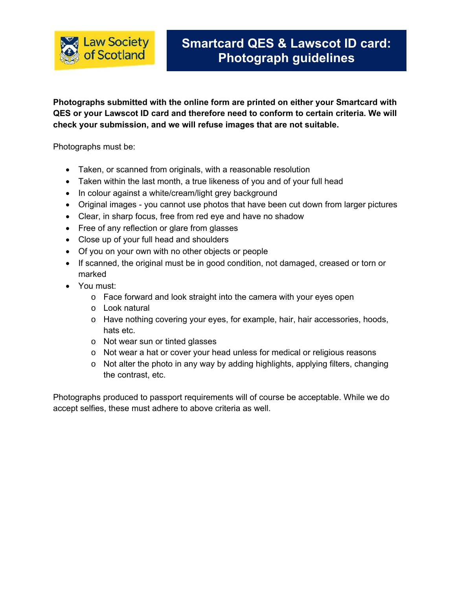

**Photographs submitted with the online form are printed on either your Smartcard with QES or your Lawscot ID card and therefore need to conform to certain criteria. We will check your submission, and we will refuse images that are not suitable.**

Photographs must be:

- Taken, or scanned from originals, with a reasonable resolution
- Taken within the last month, a true likeness of you and of your full head
- In colour against a white/cream/light grey background
- Original images you cannot use photos that have been cut down from larger pictures
- Clear, in sharp focus, free from red eye and have no shadow
- Free of any reflection or glare from glasses
- Close up of your full head and shoulders
- Of you on your own with no other objects or people
- If scanned, the original must be in good condition, not damaged, creased or torn or marked
- You must:
	- o Face forward and look straight into the camera with your eyes open
	- o Look natural
	- o Have nothing covering your eyes, for example, hair, hair accessories, hoods, hats etc.
	- o Not wear sun or tinted glasses
	- o Not wear a hat or cover your head unless for medical or religious reasons
	- o Not alter the photo in any way by adding highlights, applying filters, changing the contrast, etc.

Photographs produced to passport requirements will of course be acceptable. While we do accept selfies, these must adhere to above criteria as well.